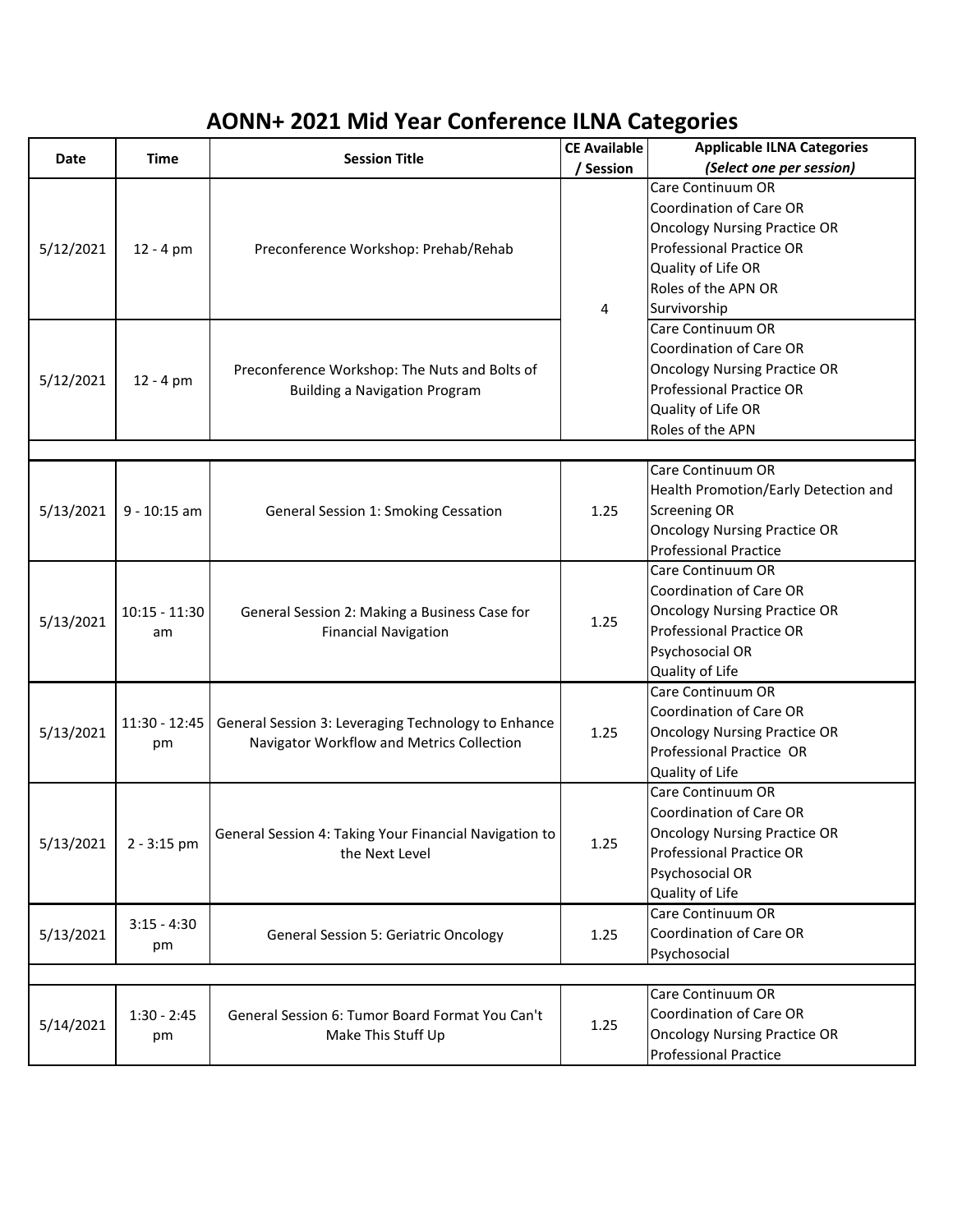## **AONN+ 2021 Mid Year Conference ILNA Categories**

| <b>Time</b>           | <b>Session Title</b>                                                                             | <b>CE Available</b> | <b>Applicable ILNA Categories</b>                                                                                                                                                          |  |  |
|-----------------------|--------------------------------------------------------------------------------------------------|---------------------|--------------------------------------------------------------------------------------------------------------------------------------------------------------------------------------------|--|--|
|                       |                                                                                                  | / Session           | (Select one per session)                                                                                                                                                                   |  |  |
| $12 - 4 pm$           | Preconference Workshop: Prehab/Rehab                                                             | 4                   | Care Continuum OR<br><b>Coordination of Care OR</b><br><b>Oncology Nursing Practice OR</b><br><b>Professional Practice OR</b><br>Quality of Life OR<br>Roles of the APN OR<br>Survivorship |  |  |
| $12 - 4 pm$           | Preconference Workshop: The Nuts and Bolts of<br><b>Building a Navigation Program</b>            |                     | Care Continuum OR<br><b>Coordination of Care OR</b><br><b>Oncology Nursing Practice OR</b><br><b>Professional Practice OR</b><br>Quality of Life OR<br>Roles of the APN                    |  |  |
|                       |                                                                                                  |                     | Care Continuum OR                                                                                                                                                                          |  |  |
| $9 - 10:15$ am        | General Session 1: Smoking Cessation                                                             | 1.25                | Health Promotion/Early Detection and<br><b>Screening OR</b><br><b>Oncology Nursing Practice OR</b><br><b>Professional Practice</b>                                                         |  |  |
| $10:15 - 11:30$<br>am | General Session 2: Making a Business Case for<br><b>Financial Navigation</b>                     | 1.25                | Care Continuum OR<br><b>Coordination of Care OR</b><br><b>Oncology Nursing Practice OR</b><br><b>Professional Practice OR</b><br>Psychosocial OR<br>Quality of Life                        |  |  |
| $11:30 - 12:45$<br>pm | General Session 3: Leveraging Technology to Enhance<br>Navigator Workflow and Metrics Collection | 1.25                | Care Continuum OR<br><b>Coordination of Care OR</b><br><b>Oncology Nursing Practice OR</b><br>Professional Practice OR<br>Quality of Life                                                  |  |  |
| $2 - 3:15$ pm         | General Session 4: Taking Your Financial Navigation to<br>the Next Level                         | 1.25                | Care Continuum OR<br><b>Coordination of Care OR</b><br><b>Oncology Nursing Practice OR</b><br><b>Professional Practice OR</b><br>Psychosocial OR<br>Quality of Life                        |  |  |
| $3:15 - 4:30$<br>pm   | <b>General Session 5: Geriatric Oncology</b>                                                     | 1.25                | Care Continuum OR<br>Coordination of Care OR<br>Psychosocial                                                                                                                               |  |  |
|                       |                                                                                                  |                     |                                                                                                                                                                                            |  |  |
| $1:30 - 2:45$<br>pm   | General Session 6: Tumor Board Format You Can't<br>Make This Stuff Up                            | 1.25                | Care Continuum OR<br><b>Coordination of Care OR</b><br><b>Oncology Nursing Practice OR</b><br><b>Professional Practice</b>                                                                 |  |  |
|                       |                                                                                                  |                     |                                                                                                                                                                                            |  |  |